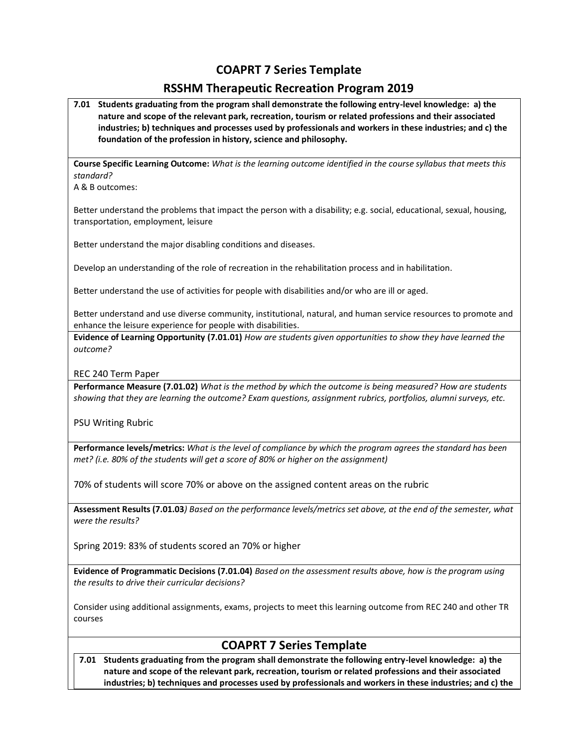## **COAPRT 7 Series Template**

## **RSSHM Therapeutic Recreation Program 2019**

**7.01 Students graduating from the program shall demonstrate the following entry-level knowledge: a) the nature and scope of the relevant park, recreation, tourism or related professions and their associated industries; b) techniques and processes used by professionals and workers in these industries; and c) the foundation of the profession in history, science and philosophy.**

**Course Specific Learning Outcome:** *What is the learning outcome identified in the course syllabus that meets this standard?*

A & B outcomes:

Better understand the problems that impact the person with a disability; e.g. social, educational, sexual, housing, transportation, employment, leisure

Better understand the major disabling conditions and diseases.

Develop an understanding of the role of recreation in the rehabilitation process and in habilitation.

Better understand the use of activities for people with disabilities and/or who are ill or aged.

Better understand and use diverse community, institutional, natural, and human service resources to promote and enhance the leisure experience for people with disabilities.

**Evidence of Learning Opportunity (7.01.01)** *How are students given opportunities to show they have learned the outcome?*

REC 240 Term Paper

**Performance Measure (7.01.02)** *What is the method by which the outcome is being measured? How are students showing that they are learning the outcome? Exam questions, assignment rubrics, portfolios, alumni surveys, etc.*

PSU Writing Rubric

**Performance levels/metrics:** *What is the level of compliance by which the program agrees the standard has been met? (i.e. 80% of the students will get a score of 80% or higher on the assignment)*

70% of students will score 70% or above on the assigned content areas on the rubric

**Assessment Results (7.01.03***) Based on the performance levels/metrics set above, at the end of the semester, what were the results?*

Spring 2019: 83% of students scored an 70% or higher

**Evidence of Programmatic Decisions (7.01.04)** *Based on the assessment results above, how is the program using the results to drive their curricular decisions?* 

Consider using additional assignments, exams, projects to meet this learning outcome from REC 240 and other TR courses

# **COAPRT 7 Series Template**

**7.01 Students graduating from the program shall demonstrate the following entry-level knowledge: a) the nature and scope of the relevant park, recreation, tourism or related professions and their associated industries; b) techniques and processes used by professionals and workers in these industries; and c) the**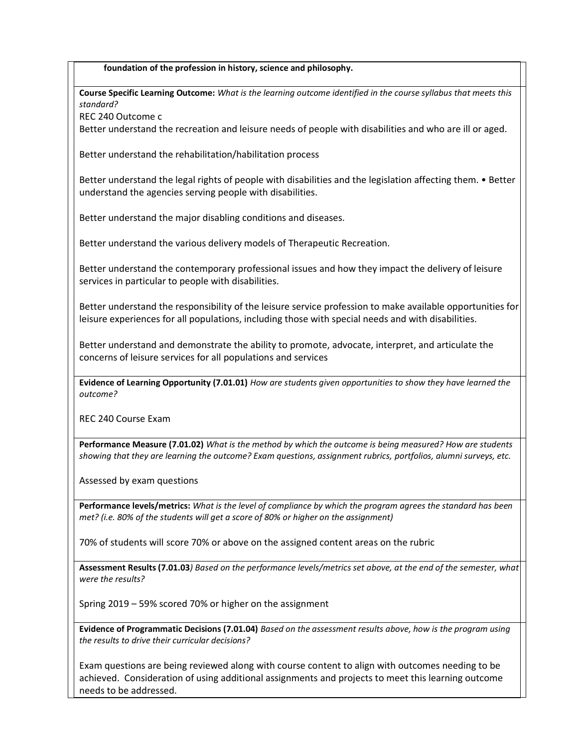**foundation of the profession in history, science and philosophy.**

**Course Specific Learning Outcome:** *What is the learning outcome identified in the course syllabus that meets this standard?*

REC 240 Outcome c

Better understand the recreation and leisure needs of people with disabilities and who are ill or aged.

Better understand the rehabilitation/habilitation process

Better understand the legal rights of people with disabilities and the legislation affecting them. • Better understand the agencies serving people with disabilities.

Better understand the major disabling conditions and diseases.

Better understand the various delivery models of Therapeutic Recreation.

Better understand the contemporary professional issues and how they impact the delivery of leisure services in particular to people with disabilities.

Better understand the responsibility of the leisure service profession to make available opportunities for leisure experiences for all populations, including those with special needs and with disabilities.

Better understand and demonstrate the ability to promote, advocate, interpret, and articulate the concerns of leisure services for all populations and services

**Evidence of Learning Opportunity (7.01.01)** *How are students given opportunities to show they have learned the outcome?*

REC 240 Course Exam

**Performance Measure (7.01.02)** *What is the method by which the outcome is being measured? How are students showing that they are learning the outcome? Exam questions, assignment rubrics, portfolios, alumni surveys, etc.*

Assessed by exam questions

**Performance levels/metrics:** *What is the level of compliance by which the program agrees the standard has been met? (i.e. 80% of the students will get a score of 80% or higher on the assignment)*

70% of students will score 70% or above on the assigned content areas on the rubric

**Assessment Results (7.01.03***) Based on the performance levels/metrics set above, at the end of the semester, what were the results?*

Spring 2019 – 59% scored 70% or higher on the assignment

**Evidence of Programmatic Decisions (7.01.04)** *Based on the assessment results above, how is the program using the results to drive their curricular decisions?* 

Exam questions are being reviewed along with course content to align with outcomes needing to be achieved. Consideration of using additional assignments and projects to meet this learning outcome needs to be addressed.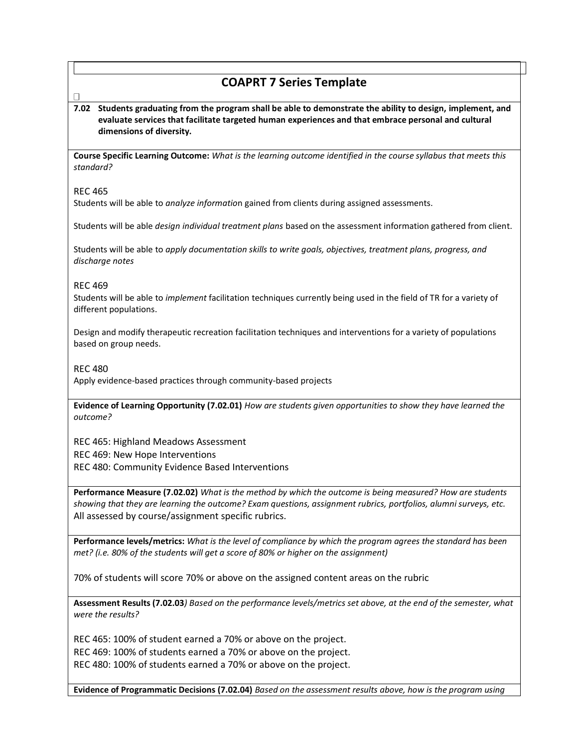## **COAPRT 7 Series Template**

**7.02 Students graduating from the program shall be able to demonstrate the ability to design, implement, and evaluate services that facilitate targeted human experiences and that embrace personal and cultural dimensions of diversity.**

**Course Specific Learning Outcome:** *What is the learning outcome identified in the course syllabus that meets this standard?*

#### REC 465

Students will be able to *analyze informatio*n gained from clients during assigned assessments.

Students will be able *design individual treatment plans* based on the assessment information gathered from client.

Students will be able to *apply documentation skills to write goals, objectives, treatment plans, progress, and discharge notes*

#### REC 469

Students will be able to *implement* facilitation techniques currently being used in the field of TR for a variety of different populations.

Design and modify therapeutic recreation facilitation techniques and interventions for a variety of populations based on group needs.

### REC 480

Apply evidence-based practices through community-based projects

**Evidence of Learning Opportunity (7.02.01)** *How are students given opportunities to show they have learned the outcome?*

REC 465: Highland Meadows Assessment REC 469: New Hope Interventions REC 480: Community Evidence Based Interventions

**Performance Measure (7.02.02)** *What is the method by which the outcome is being measured? How are students showing that they are learning the outcome? Exam questions, assignment rubrics, portfolios, alumni surveys, etc.* All assessed by course/assignment specific rubrics.

**Performance levels/metrics:** *What is the level of compliance by which the program agrees the standard has been met? (i.e. 80% of the students will get a score of 80% or higher on the assignment)*

70% of students will score 70% or above on the assigned content areas on the rubric

**Assessment Results (7.02.03***) Based on the performance levels/metrics set above, at the end of the semester, what were the results?*

REC 465: 100% of student earned a 70% or above on the project. REC 469: 100% of students earned a 70% or above on the project. REC 480: 100% of students earned a 70% or above on the project.

**Evidence of Programmatic Decisions (7.02.04)** *Based on the assessment results above, how is the program using*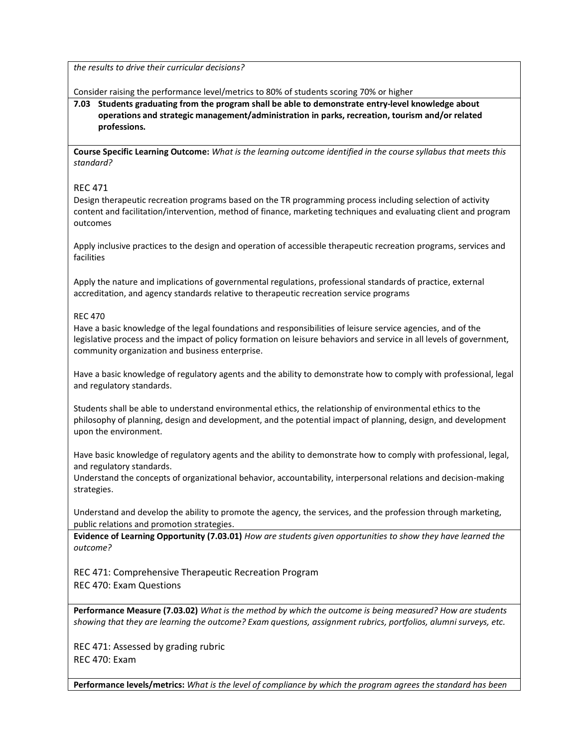*the results to drive their curricular decisions?* 

Consider raising the performance level/metrics to 80% of students scoring 70% or higher

**7.03 Students graduating from the program shall be able to demonstrate entry-level knowledge about operations and strategic management/administration in parks, recreation, tourism and/or related professions.**

**Course Specific Learning Outcome:** *What is the learning outcome identified in the course syllabus that meets this standard?*

#### REC 471

Design therapeutic recreation programs based on the TR programming process including selection of activity content and facilitation/intervention, method of finance, marketing techniques and evaluating client and program outcomes

Apply inclusive practices to the design and operation of accessible therapeutic recreation programs, services and facilities

Apply the nature and implications of governmental regulations, professional standards of practice, external accreditation, and agency standards relative to therapeutic recreation service programs

#### REC 470

Have a basic knowledge of the legal foundations and responsibilities of leisure service agencies, and of the legislative process and the impact of policy formation on leisure behaviors and service in all levels of government, community organization and business enterprise.

Have a basic knowledge of regulatory agents and the ability to demonstrate how to comply with professional, legal and regulatory standards.

Students shall be able to understand environmental ethics, the relationship of environmental ethics to the philosophy of planning, design and development, and the potential impact of planning, design, and development upon the environment.

Have basic knowledge of regulatory agents and the ability to demonstrate how to comply with professional, legal, and regulatory standards.

Understand the concepts of organizational behavior, accountability, interpersonal relations and decision-making strategies.

Understand and develop the ability to promote the agency, the services, and the profession through marketing, public relations and promotion strategies.

**Evidence of Learning Opportunity (7.03.01)** *How are students given opportunities to show they have learned the outcome?*

REC 471: Comprehensive Therapeutic Recreation Program REC 470: Exam Questions

**Performance Measure (7.03.02)** *What is the method by which the outcome is being measured? How are students showing that they are learning the outcome? Exam questions, assignment rubrics, portfolios, alumni surveys, etc.*

REC 471: Assessed by grading rubric REC 470: Exam

**Performance levels/metrics:** *What is the level of compliance by which the program agrees the standard has been*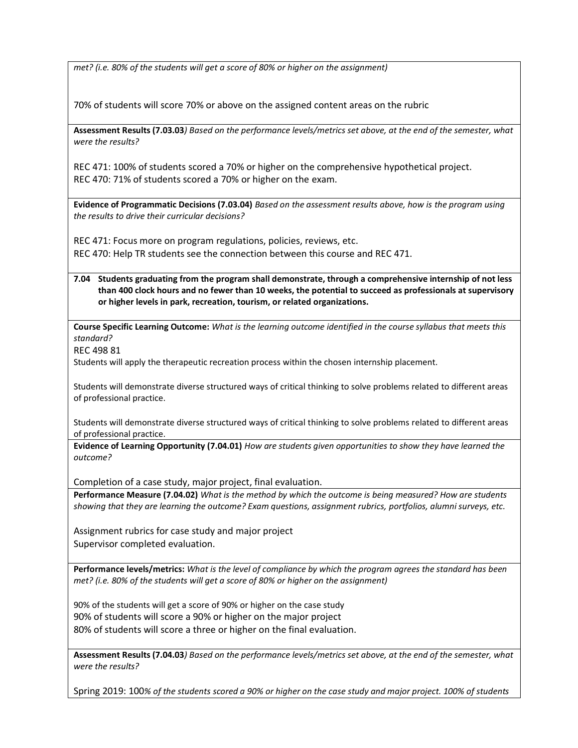*met? (i.e. 80% of the students will get a score of 80% or higher on the assignment)*

70% of students will score 70% or above on the assigned content areas on the rubric

**Assessment Results (7.03.03***) Based on the performance levels/metrics set above, at the end of the semester, what were the results?*

REC 471: 100% of students scored a 70% or higher on the comprehensive hypothetical project. REC 470: 71% of students scored a 70% or higher on the exam.

**Evidence of Programmatic Decisions (7.03.04)** *Based on the assessment results above, how is the program using the results to drive their curricular decisions?* 

REC 471: Focus more on program regulations, policies, reviews, etc.

REC 470: Help TR students see the connection between this course and REC 471.

**7.04 Students graduating from the program shall demonstrate, through a comprehensive internship of not less than 400 clock hours and no fewer than 10 weeks, the potential to succeed as professionals at supervisory or higher levels in park, recreation, tourism, or related organizations.** 

**Course Specific Learning Outcome:** *What is the learning outcome identified in the course syllabus that meets this standard?*

REC 498 81

Students will apply the therapeutic recreation process within the chosen internship placement.

Students will demonstrate diverse structured ways of critical thinking to solve problems related to different areas of professional practice.

Students will demonstrate diverse structured ways of critical thinking to solve problems related to different areas of professional practice.

**Evidence of Learning Opportunity (7.04.01)** *How are students given opportunities to show they have learned the outcome?*

Completion of a case study, major project, final evaluation.

**Performance Measure (7.04.02)** *What is the method by which the outcome is being measured? How are students showing that they are learning the outcome? Exam questions, assignment rubrics, portfolios, alumni surveys, etc.*

Assignment rubrics for case study and major project Supervisor completed evaluation.

**Performance levels/metrics:** *What is the level of compliance by which the program agrees the standard has been met? (i.e. 80% of the students will get a score of 80% or higher on the assignment)*

90% of the students will get a score of 90% or higher on the case study 90% of students will score a 90% or higher on the major project 80% of students will score a three or higher on the final evaluation.

**Assessment Results (7.04.03***) Based on the performance levels/metrics set above, at the end of the semester, what were the results?*

Spring 2019: 100*% of the students scored a 90% or higher on the case study and major project. 100% of students*